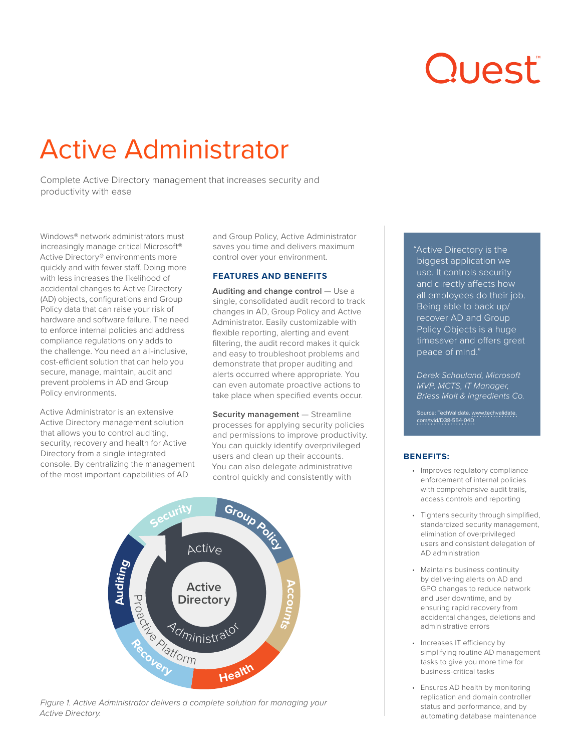# Quest

# Active Administrator

Complete Active Directory management that increases security and productivity with ease

Windows® network administrators must increasingly manage critical Microsoft® Active Directory® environments more quickly and with fewer staff. Doing more with less increases the likelihood of accidental changes to Active Directory (AD) objects, configurations and Group Policy data that can raise your risk of hardware and software failure. The need to enforce internal policies and address compliance regulations only adds to the challenge. You need an all-inclusive, cost-efficient solution that can help you secure, manage, maintain, audit and prevent problems in AD and Group Policy environments.

Active Administrator is an extensive Active Directory management solution that allows you to control auditing, security, recovery and health for Active Directory from a single integrated console. By centralizing the management of the most important capabilities of AD

and Group Policy, Active Administrator saves you time and delivers maximum control over your environment.

#### **FEATURES AND BENEFITS**

**Auditing and change control – Use a** single, consolidated audit record to track changes in AD, Group Policy and Active Administrator. Easily customizable with flexible reporting, alerting and event filtering, the audit record makes it quick and easy to troubleshoot problems and demonstrate that proper auditing and alerts occurred where appropriate. You can even automate proactive actions to take place when specified events occur.

**Security management** — Streamline processes for applying security policies and permissions to improve productivity. You can quickly identify overprivileged users and clean up their accounts. You can also delegate administrative control quickly and consistently with



*Figure 1. Active Administrator delivers a complete solution for managing your Active Directory.*

"Active Directory is the biggest application we use. It controls security and directly affects how all employees do their job. Being able to back up/ recover AD and Group Policy Objects is a huge timesaver and offers great peace of mind."

*Derek Schauland, Microsoft MVP, MCTS, IT Manager, Briess Malt & Ingredients Co.*

Source: TechValidate. [www.techvalidate.](http://www.techvalidate.com/tvid/D38-554-04D) [com/tvid/D38-554-04D](http://www.techvalidate.com/tvid/D38-554-04D)

# **BENEFITS:**

- Improves regulatory compliance enforcement of internal policies with comprehensive audit trails, access controls and reporting
- Tightens security through simplified, standardized security management, elimination of overprivileged users and consistent delegation of AD administration
- Maintains business continuity by delivering alerts on AD and GPO changes to reduce network and user downtime, and by ensuring rapid recovery from accidental changes, deletions and administrative errors
- Increases IT efficiency by simplifying routine AD management tasks to give you more time for business-critical tasks
- Ensures AD health by monitoring replication and domain controller status and performance, and by automating database maintenance